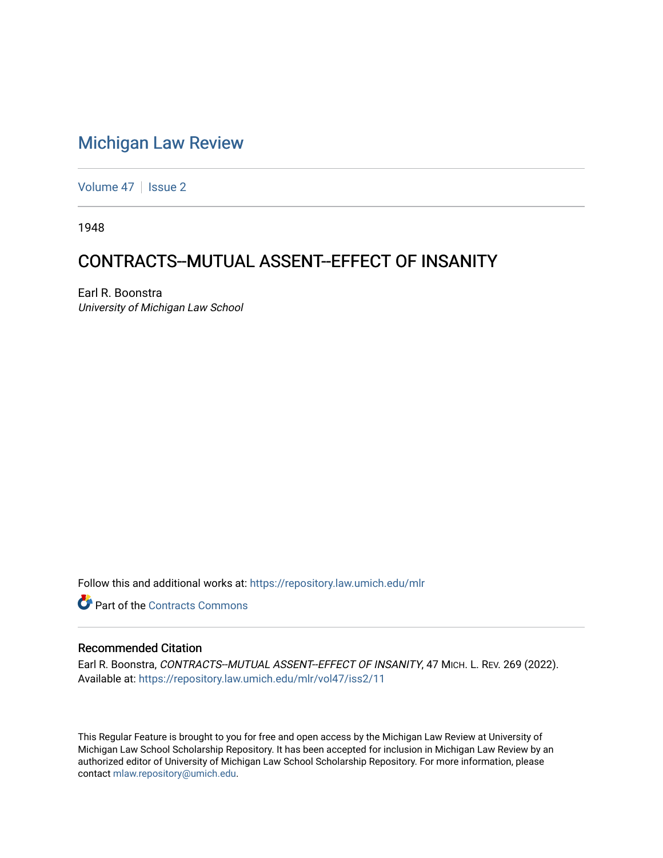## [Michigan Law Review](https://repository.law.umich.edu/mlr)

[Volume 47](https://repository.law.umich.edu/mlr/vol47) | [Issue 2](https://repository.law.umich.edu/mlr/vol47/iss2)

1948

## CONTRACTS--MUTUAL ASSENT--EFFECT OF INSANITY

Earl R. Boonstra University of Michigan Law School

Follow this and additional works at: [https://repository.law.umich.edu/mlr](https://repository.law.umich.edu/mlr?utm_source=repository.law.umich.edu%2Fmlr%2Fvol47%2Fiss2%2F11&utm_medium=PDF&utm_campaign=PDFCoverPages) 

**C** Part of the [Contracts Commons](http://network.bepress.com/hgg/discipline/591?utm_source=repository.law.umich.edu%2Fmlr%2Fvol47%2Fiss2%2F11&utm_medium=PDF&utm_campaign=PDFCoverPages)

## Recommended Citation

Earl R. Boonstra, CONTRACTS--MUTUAL ASSENT--EFFECT OF INSANITY, 47 MICH. L. REV. 269 (2022). Available at: [https://repository.law.umich.edu/mlr/vol47/iss2/11](https://repository.law.umich.edu/mlr/vol47/iss2/11?utm_source=repository.law.umich.edu%2Fmlr%2Fvol47%2Fiss2%2F11&utm_medium=PDF&utm_campaign=PDFCoverPages) 

This Regular Feature is brought to you for free and open access by the Michigan Law Review at University of Michigan Law School Scholarship Repository. It has been accepted for inclusion in Michigan Law Review by an authorized editor of University of Michigan Law School Scholarship Repository. For more information, please contact [mlaw.repository@umich.edu](mailto:mlaw.repository@umich.edu).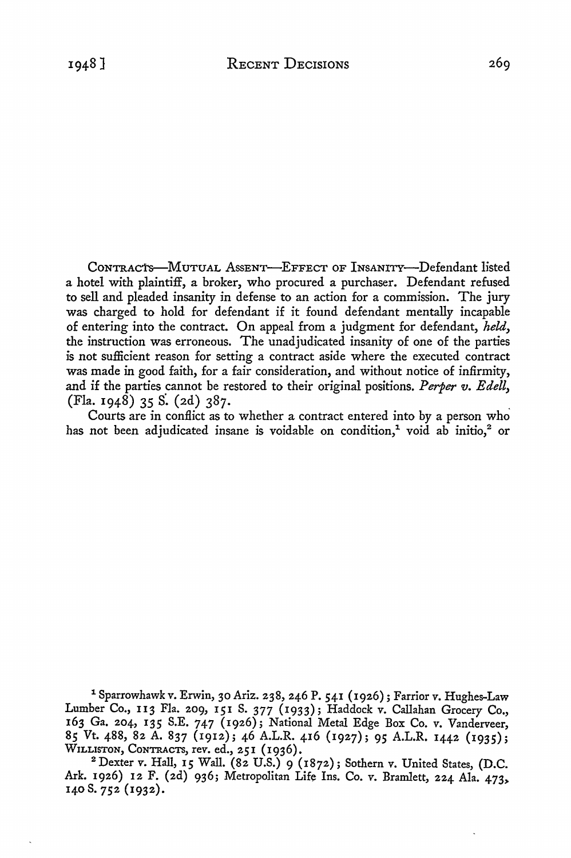CONTRACTS-MUTUAL ASSENT-EFFECT OF INSANITY-Defendant listed a hotel with plaintiff, a broker, who procured a purchaser. Defendant refused to sell and pleaded insanity in defense to an action for a commission. The jury was charged to hold for defendant if it found defendant mentally incapable of entering into the contract. On appeal from a judgment for defendant, *held,*  the instruction was erroneous. The unadjudicated insanity of one of the parties is not sufficient reason for setting a contract aside where the executed contract was made in good faith, for a fair consideration, and without notice of infirmity, and if the parties cannot be restored to their original positions. *Perper v. Edell,*  (Fla. 1948) 35 S. (2d) 387.

Courts are in conflict as to whether a contract entered into by a person who has not been adjudicated insane is voidable on condition,<sup>1</sup> void ab initio,<sup>2</sup> or

1 Sparrowhawk v. Erwin, 30 Ariz. 238, 246 P. 541 (1926); Farrior v. Hughes-Law Lumber Co., II3 Fla. 209, 151 S. 377 (1933); Haddock v. Callahan Grocery Co., 163 Ga. 204, 135 S.E. 747 (1926); National Metal Edge Box Co. v. Vanderveer, 85 Vt. 488, 82 A. 837 (1912); 46 A.L.R. 416 (1927); 95 A.L.R. 1442 (1935); WILLISTON, CONTRACTS, rev. ed., 251 (1936).

<sup>2</sup> Dexter v. Hall, 15 Wall. (82 U.S.) 9 (1872); Sothern v. United States, (D.C. Ark. 1926) 12 F. (2d) 936; Metropolitan Life Ins. Co. v. Bramlett, 224 Ala. 473> 140S. 752 (1932).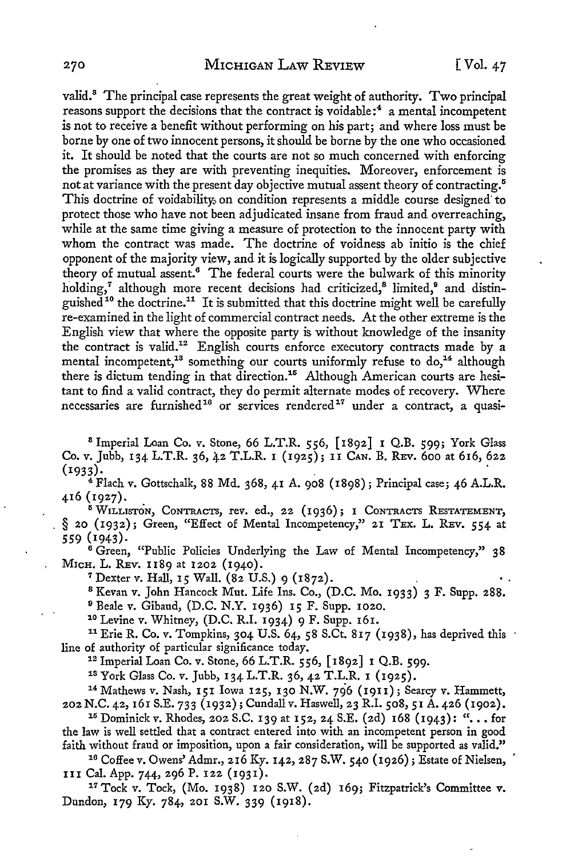valid.<sup>8</sup> The principal case represents the great weight of authority. Two principal reasons support the decisions that the contract is voidable: $4$  a mental incompetent is not to receive a benefit without performing on his part; and where loss must be borne by one of two innocent persons, it should be borne by the one who occasioned it. It should be noted that the courts are not so much concerned with enforcing the promises as they are with preventing inequities. Moreover, enforcement is not at variance with the present day objective mutual assent theory of contracting.<sup>5</sup> This doctrine of voidability, on condition represents a middle course designed to protect those who have not been adjudicated insane from fraud and overreaching, while at the same time giving a measure of protection to the innocent party with whom the contract was made. The doctrine of voidness ab initio is the chief opponent of the majority view, and it is logically supported by the older subjective theory of mutual assent.<sup>6</sup> The federal courts were the bulwark of this minority holding,<sup>7</sup> although more recent decisions had criticized,<sup>8</sup> limited,<sup>9</sup> and distinguished<sup>10</sup> the doctrine.<sup>11</sup> It is submitted that this doctrine might well be carefully re-examined *in* the light of commercial contract needs. At the other extreme is the English view that where the opposite party is without knowledge of the insanity the contract is valid.12 English courts enforce executory contracts made by a mental incompetent,<sup>18</sup> something our courts uniformly refuse to  $do$ ,<sup>14</sup> although there is dictum tending in that direction.<sup>15</sup> Although American courts are hesitant to find a valid contract, they do permit alternate modes of recovery. Where necessaries are furnished<sup>16</sup> or services rendered<sup>17</sup> under a contract, a quasi-

8 Imperial Loan Co. v. Stone, 66 L.T.R. 556, [1892] I Q.B. 599; York Glass Co. v. Jubb, 134 L.T.R. 36, 42 T.L.R. I (1925); II CAN. B. REv. 600 at 616, 622  $(1933)$ .

 $4$  Flach v. Gottschalk, 88 Md. 368, 41 A. 908 (1898); Principal case; 46 A.L.R. 416 (1927).

<sup>5</sup>WILLISTON, CoNTRAcTS, rev. ed., 22 (1936); 1 CONTRACTS RESTATEMENT, § 20 (1932); Green, "Effect of Mental Incompetency," 21 TEX. L. REV. 554 at 559 (1943).

<sup>6</sup> Green, "Public Policies Underlying the Law of Mental Incompetency," 38 MicH. L. REv. 1189 at 1202 (1940).

7 Dexter v. Hall, 15 Wall. (82 U.S.) 9 (1872).

8 Kevan v. John Hancock Mut. Life Ins. Co., (D.C. Mo. 1933) 3 F. Supp. **288.** 

<sup>9</sup> Beale v. Gibaud, (D.C. N.Y. 1936) 15 F. Supp. 1020.<br><sup>10</sup> Levine v. Whitney, (D.C. R.I. 1934) 9 F. Supp. 161.

<sup>11</sup> Erie R. Co. v. Tompkins, 304 U.S. 64, 58 S.Ct. 817 (1938), has deprived this

line of authority of particular significance today.<br><sup>12</sup> Imperial Loan Co. v. Stone, 66 L.T.R. 556, [1892] 1 Q.B. 599.<br><sup>13</sup> York Glass Co. v. Jubb, 134 L.T.R. 36, 42 T.L.R. 1 (1925).<br><sup>14</sup> Mathews v. Nash, 151 Iowa 125, 130

<sup>15</sup> Dominick v. Rhodes, 202 S.C. 139 at 152, 24 S.E. (2d) 168 (1943): "... for the law is well settled that a contract entered into with an incompetent person in good

faith without fraud or imposition, upon a fair consideration, will be supported as valid."<br><sup>16</sup> Coffee v. Owens' Admr., 216 Ky. 142, 287 S.W. 540 (1926); Estate of Nielsen,

III Cal. App. 744, 296 P. 122 (1931). 17 Tock v. Tock, (Mo. 1938) 120 S.W. (2d) 169; Fitzpatrick's Committee v. Dundon, 179 Ky. 784, 201 S.W. 339 (1918).